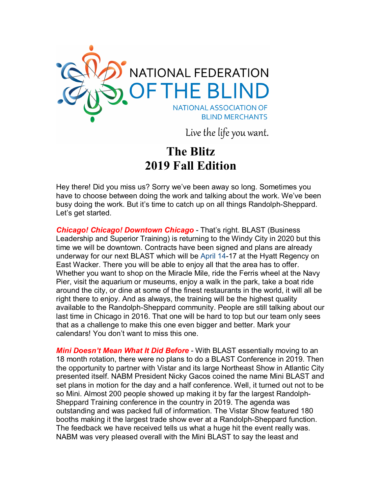

Live the life you want.

## **The Blitz 2019 Fall Edition**

Hey there! Did you miss us? Sorry we've been away so long. Sometimes you have to choose between doing the work and talking about the work. We've been busy doing the work. But it's time to catch up on all things Randolph-Sheppard. Let's get started.

*Chicago! Chicago! Downtown Chicago* - That's right. BLAST (Business Leadership and Superior Training) is returning to the Windy City in 2020 but this time we will be downtown. Contracts have been signed and plans are already underway for our next BLAST which will be April 14-17 at the Hyatt Regency on East Wacker. There you will be able to enjoy all that the area has to offer. Whether you want to shop on the Miracle Mile, ride the Ferris wheel at the Navy Pier, visit the aquarium or museums, enjoy a walk in the park, take a boat ride around the city, or dine at some of the finest restaurants in the world, it will all be right there to enjoy. And as always, the training will be the highest quality available to the Randolph-Sheppard community. People are still talking about our last time in Chicago in 2016. That one will be hard to top but our team only sees that as a challenge to make this one even bigger and better. Mark your calendars! You don't want to miss this one.

*Mini Doesn't Mean What It Did Before* - With BLAST essentially moving to an 18 month rotation, there were no plans to do a BLAST Conference in 2019. Then the opportunity to partner with Vistar and its large Northeast Show in Atlantic City presented itself. NABM President Nicky Gacos coined the name Mini BLAST and set plans in motion for the day and a half conference. Well, it turned out not to be so Mini. Almost 200 people showed up making it by far the largest Randolph-Sheppard Training conference in the country in 2019. The agenda was outstanding and was packed full of information. The Vistar Show featured 180 booths making it the largest trade show ever at a Randolph-Sheppard function. The feedback we have received tells us what a huge hit the event really was. NABM was very pleased overall with the Mini BLAST to say the least and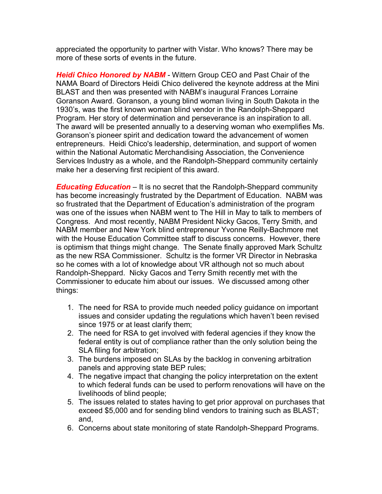appreciated the opportunity to partner with Vistar. Who knows? There may be more of these sorts of events in the future.

*Heidi Chico Honored by NABM* - Wittern Group CEO and Past Chair of the NAMA Board of Directors Heidi Chico delivered the keynote address at the Mini BLAST and then was presented with NABM's inaugural Frances Lorraine Goranson Award. Goranson, a young blind woman living in South Dakota in the 1930's, was the first known woman blind vendor in the Randolph-Sheppard Program. Her story of determination and perseverance is an inspiration to all. The award will be presented annually to a deserving woman who exemplifies Ms. Goranson's pioneer spirit and dedication toward the advancement of women entrepreneurs. Heidi Chico's leadership, determination, and support of women within the National Automatic Merchandising Association, the Convenience Services Industry as a whole, and the Randolph-Sheppard community certainly make her a deserving first recipient of this award.

*Educating Education* – It is no secret that the Randolph-Sheppard community has become increasingly frustrated by the Department of Education. NABM was so frustrated that the Department of Education's administration of the program was one of the issues when NABM went to The Hill in May to talk to members of Congress. And most recently, NABM President Nicky Gacos, Terry Smith, and NABM member and New York blind entrepreneur Yvonne Reilly-Bachmore met with the House Education Committee staff to discuss concerns. However, there is optimism that things might change. The Senate finally approved Mark Schultz as the new RSA Commissioner. Schultz is the former VR Director in Nebraska so he comes with a lot of knowledge about VR although not so much about Randolph-Sheppard. Nicky Gacos and Terry Smith recently met with the Commissioner to educate him about our issues. We discussed among other things:

- 1. The need for RSA to provide much needed policy guidance on important issues and consider updating the regulations which haven't been revised since 1975 or at least clarify them;
- 2. The need for RSA to get involved with federal agencies if they know the federal entity is out of compliance rather than the only solution being the SLA filing for arbitration;
- 3. The burdens imposed on SLAs by the backlog in convening arbitration panels and approving state BEP rules;
- 4. The negative impact that changing the policy interpretation on the extent to which federal funds can be used to perform renovations will have on the livelihoods of blind people;
- 5. The issues related to states having to get prior approval on purchases that exceed \$5,000 and for sending blind vendors to training such as BLAST; and,
- 6. Concerns about state monitoring of state Randolph-Sheppard Programs.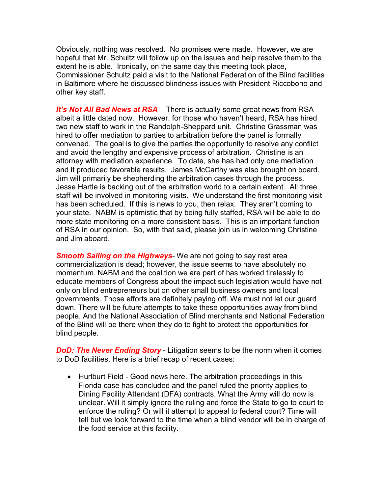Obviously, nothing was resolved. No promises were made. However, we are hopeful that Mr. Schultz will follow up on the issues and help resolve them to the extent he is able. Ironically, on the same day this meeting took place, Commissioner Schultz paid a visit to the National Federation of the Blind facilities in Baltimore where he discussed blindness issues with President Riccobono and other key staff.

*It's Not All Bad News at RSA* – There is actually some great news from RSA albeit a little dated now. However, for those who haven't heard, RSA has hired two new staff to work in the Randolph-Sheppard unit. Christine Grassman was hired to offer mediation to parties to arbitration before the panel is formally convened. The goal is to give the parties the opportunity to resolve any conflict and avoid the lengthy and expensive process of arbitration. Christine is an attorney with mediation experience. To date, she has had only one mediation and it produced favorable results. James McCarthy was also brought on board. Jim will primarily be shepherding the arbitration cases through the process. Jesse Hartle is backing out of the arbitration world to a certain extent. All three staff will be involved in monitoring visits. We understand the first monitoring visit has been scheduled. If this is news to you, then relax. They aren't coming to your state. NABM is optimistic that by being fully staffed, RSA will be able to do more state monitoring on a more consistent basis. This is an important function of RSA in our opinion. So, with that said, please join us in welcoming Christine and Jim aboard.

*Smooth Sailing on the Highways*- We are not going to say rest area commercialization is dead; however, the issue seems to have absolutely no momentum. NABM and the coalition we are part of has worked tirelessly to educate members of Congress about the impact such legislation would have not only on blind entrepreneurs but on other small business owners and local governments. Those efforts are definitely paying off. We must not let our guard down. There will be future attempts to take these opportunities away from blind people. And the National Association of Blind merchants and National Federation of the Blind will be there when they do to fight to protect the opportunities for blind people.

**DoD: The Never Ending Story** - Litigation seems to be the norm when it comes to DoD facilities. Here is a brief recap of recent cases:

• Hurlburt Field - Good news here. The arbitration proceedings in this Florida case has concluded and the panel ruled the priority applies to Dining Facility Attendant (DFA) contracts. What the Army will do now is unclear. Will it simply ignore the ruling and force the State to go to court to enforce the ruling? Or will it attempt to appeal to federal court? Time will tell but we look forward to the time when a blind vendor will be in charge of the food service at this facility.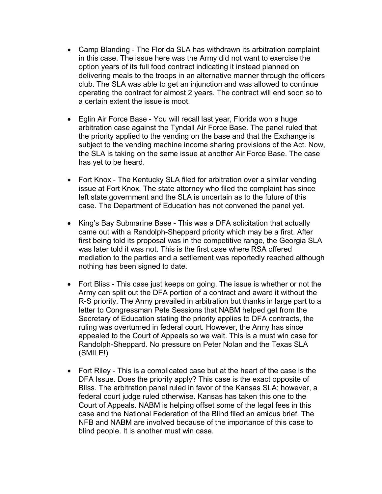- Camp Blanding The Florida SLA has withdrawn its arbitration complaint in this case. The issue here was the Army did not want to exercise the option years of its full food contract indicating it instead planned on delivering meals to the troops in an alternative manner through the officers club. The SLA was able to get an injunction and was allowed to continue operating the contract for almost 2 years. The contract will end soon so to a certain extent the issue is moot.
- Eglin Air Force Base You will recall last year, Florida won a huge arbitration case against the Tyndall Air Force Base. The panel ruled that the priority applied to the vending on the base and that the Exchange is subject to the vending machine income sharing provisions of the Act. Now, the SLA is taking on the same issue at another Air Force Base. The case has yet to be heard.
- Fort Knox The Kentucky SLA filed for arbitration over a similar vending issue at Fort Knox. The state attorney who filed the complaint has since left state government and the SLA is uncertain as to the future of this case. The Department of Education has not convened the panel yet.
- King's Bay Submarine Base This was a DFA solicitation that actually came out with a Randolph-Sheppard priority which may be a first. After first being told its proposal was in the competitive range, the Georgia SLA was later told it was not. This is the first case where RSA offered mediation to the parties and a settlement was reportedly reached although nothing has been signed to date.
- Fort Bliss This case just keeps on going. The issue is whether or not the Army can split out the DFA portion of a contract and award it without the R-S priority. The Army prevailed in arbitration but thanks in large part to a letter to Congressman Pete Sessions that NABM helped get from the Secretary of Education stating the priority applies to DFA contracts, the ruling was overturned in federal court. However, the Army has since appealed to the Court of Appeals so we wait. This is a must win case for Randolph-Sheppard. No pressure on Peter Nolan and the Texas SLA (SMILE!)
- Fort Riley This is a complicated case but at the heart of the case is the DFA Issue. Does the priority apply? This case is the exact opposite of Bliss. The arbitration panel ruled in favor of the Kansas SLA; however, a federal court judge ruled otherwise. Kansas has taken this one to the Court of Appeals. NABM is helping offset some of the legal fees in this case and the National Federation of the Blind filed an amicus brief. The NFB and NABM are involved because of the importance of this case to blind people. It is another must win case.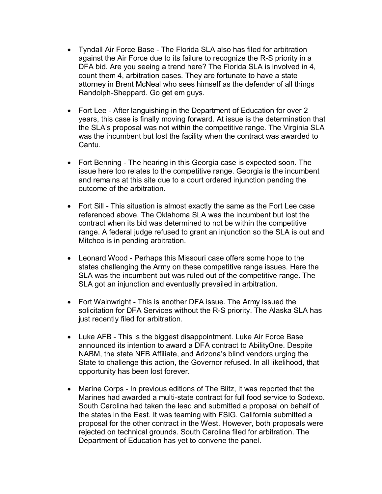- Tyndall Air Force Base The Florida SLA also has filed for arbitration against the Air Force due to its failure to recognize the R-S priority in a DFA bid. Are you seeing a trend here? The Florida SLA is involved in 4, count them 4, arbitration cases. They are fortunate to have a state attorney in Brent McNeal who sees himself as the defender of all things Randolph-Sheppard. Go get em guys.
- Fort Lee After languishing in the Department of Education for over 2 years, this case is finally moving forward. At issue is the determination that the SLA's proposal was not within the competitive range. The Virginia SLA was the incumbent but lost the facility when the contract was awarded to Cantu.
- Fort Benning The hearing in this Georgia case is expected soon. The issue here too relates to the competitive range. Georgia is the incumbent and remains at this site due to a court ordered injunction pending the outcome of the arbitration.
- Fort Sill This situation is almost exactly the same as the Fort Lee case referenced above. The Oklahoma SLA was the incumbent but lost the contract when its bid was determined to not be within the competitive range. A federal judge refused to grant an injunction so the SLA is out and Mitchco is in pending arbitration.
- Leonard Wood Perhaps this Missouri case offers some hope to the states challenging the Army on these competitive range issues. Here the SLA was the incumbent but was ruled out of the competitive range. The SLA got an injunction and eventually prevailed in arbitration.
- Fort Wainwright This is another DFA issue. The Army issued the solicitation for DFA Services without the R-S priority. The Alaska SLA has just recently filed for arbitration.
- Luke AFB This is the biggest disappointment. Luke Air Force Base announced its intention to award a DFA contract to AbilityOne. Despite NABM, the state NFB Affiliate, and Arizona's blind vendors urging the State to challenge this action, the Governor refused. In all likelihood, that opportunity has been lost forever.
- Marine Corps In previous editions of The Blitz, it was reported that the Marines had awarded a multi-state contract for full food service to Sodexo. South Carolina had taken the lead and submitted a proposal on behalf of the states in the East. It was teaming with FSIG. California submitted a proposal for the other contract in the West. However, both proposals were rejected on technical grounds. South Carolina filed for arbitration. The Department of Education has yet to convene the panel.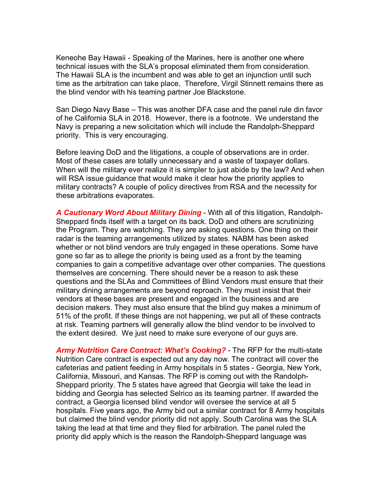Keneohe Bay Hawaii - Speaking of the Marines, here is another one where technical issues with the SLA's proposal eliminated them from consideration. The Hawaii SLA is the incumbent and was able to get an injunction until such time as the arbitration can take place, Therefore, Virgil Stinnett remains there as the blind vendor with his teaming partner Joe Blackstone.

San Diego Navy Base – This was another DFA case and the panel rule din favor of he California SLA in 2018. However, there is a footnote. We understand the Navy is preparing a new solicitation which will include the Randolph-Sheppard priority. This is very encouraging.

Before leaving DoD and the litigations, a couple of observations are in order. Most of these cases are totally unnecessary and a waste of taxpayer dollars. When will the military ever realize it is simpler to just abide by the law? And when will RSA issue guidance that would make it clear how the priority applies to military contracts? A couple of policy directives from RSA and the necessity for these arbitrations evaporates.

*A Cautionary Word About Military Dining* - With all of this litigation, Randolph-Sheppard finds itself with a target on its back. DoD and others are scrutinizing the Program. They are watching. They are asking questions. One thing on their radar is the teaming arrangements utilized by states. NABM has been asked whether or not blind vendors are truly engaged in these operations. Some have gone so far as to allege the priority is being used as a front by the teaming companies to gain a competitive advantage over other companies. The questions themselves are concerning. There should never be a reason to ask these questions and the SLAs and Committees of Blind Vendors must ensure that their military dining arrangements are beyond reproach. They must insist that their vendors at these bases are present and engaged in the business and are decision makers. They must also ensure that the blind guy makes a minimum of 51% of the profit. If these things are not happening, we put all of these contracts at risk. Teaming partners will generally allow the blind vendor to be involved to the extent desired. We just need to make sure everyone of our guys are.

*Army Nutrition Care Contract: What's Cooking?* - The RFP for the multi-state Nutrition Care contract is expected out any day now. The contract will cover the cafeterias and patient feeding in Army hospitals in 5 states - Georgia, New York, California, Missouri, and Kansas. The RFP is coming out with the Randolph-Sheppard priority. The 5 states have agreed that Georgia will take the lead in bidding and Georgia has selected Selrico as its teaming partner. If awarded the contract, a Georgia licensed blind vendor will oversee the service at all 5 hospitals. Five years ago, the Army bid out a similar contract for 8 Army hospitals but claimed the blind vendor priority did not apply. South Carolina was the SLA taking the lead at that time and they filed for arbitration. The panel ruled the priority did apply which is the reason the Randolph-Sheppard language was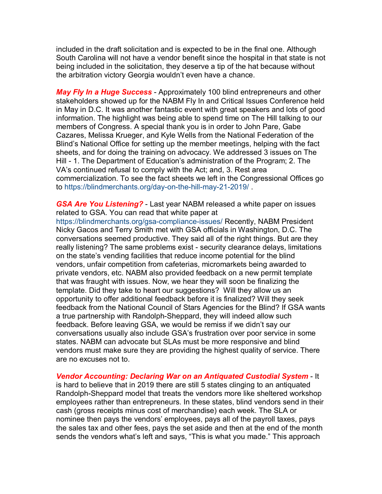included in the draft solicitation and is expected to be in the final one. Although South Carolina will not have a vendor benefit since the hospital in that state is not being included in the solicitation, they deserve a tip of the hat because without the arbitration victory Georgia wouldn't even have a chance.

*May Fly In a Huge Success* - Approximately 100 blind entrepreneurs and other stakeholders showed up for the NABM Fly In and Critical Issues Conference held in May in D.C. It was another fantastic event with great speakers and lots of good information. The highlight was being able to spend time on The Hill talking to our members of Congress. A special thank you is in order to John Pare, Gabe Cazares, Melissa Krueger, and Kyle Wells from the National Federation of the Blind's National Office for setting up the member meetings, helping with the fact sheets, and for doing the training on advocacy. We addressed 3 issues on The Hill - 1. The Department of Education's administration of the Program; 2. The VA's continued refusal to comply with the Act; and, 3. Rest area commercialization. To see the fact sheets we left in the Congressional Offices go to<https://blindmerchants.org/day-on-the-hill-may-21-2019/> .

*GSA Are You Listening?* - Last year NABM released a white paper on issues related to GSA. You can read that white paper at

<https://blindmerchants.org/gsa-compliance-issues/> Recently, NABM President Nicky Gacos and Terry Smith met with GSA officials in Washington, D.C. The conversations seemed productive. They said all of the right things. But are they really listening? The same problems exist - security clearance delays, limitations on the state's vending facilities that reduce income potential for the blind vendors, unfair competition from cafeterias, micromarkets being awarded to private vendors, etc. NABM also provided feedback on a new permit template that was fraught with issues. Now, we hear they will soon be finalizing the template. Did they take to heart our suggestions? Will they allow us an opportunity to offer additional feedback before it is finalized? Will they seek feedback from the National Council of Stars Agencies for the Blind? If GSA wants a true partnership with Randolph-Sheppard, they will indeed allow such feedback. Before leaving GSA, we would be remiss if we didn't say our conversations usually also include GSA's frustration over poor service in some states. NABM can advocate but SLAs must be more responsive and blind vendors must make sure they are providing the highest quality of service. There are no excuses not to.

*Vendor Accounting: Declaring War on an Antiquated Custodial System* - It is hard to believe that in 2019 there are still 5 states clinging to an antiquated Randolph-Sheppard model that treats the vendors more like sheltered workshop employees rather than entrepreneurs. In these states, blind vendors send in their cash (gross receipts minus cost of merchandise) each week. The SLA or nominee then pays the vendors' employees, pays all of the payroll taxes, pays the sales tax and other fees, pays the set aside and then at the end of the month sends the vendors what's left and says, "This is what you made." This approach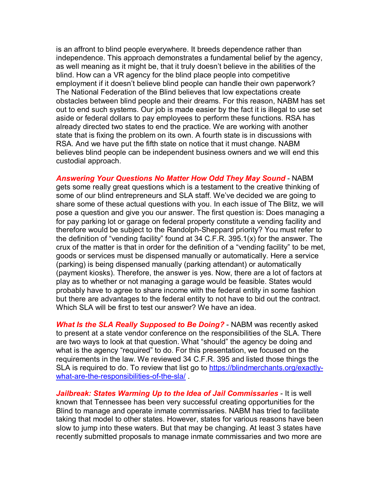is an affront to blind people everywhere. It breeds dependence rather than independence. This approach demonstrates a fundamental belief by the agency, as well meaning as it might be, that it truly doesn't believe in the abilities of the blind. How can a VR agency for the blind place people into competitive employment if it doesn't believe blind people can handle their own paperwork? The National Federation of the Blind believes that low expectations create obstacles between blind people and their dreams. For this reason, NABM has set out to end such systems. Our job is made easier by the fact it is illegal to use set aside or federal dollars to pay employees to perform these functions. RSA has already directed two states to end the practice. We are working with another state that is fixing the problem on its own. A fourth state is in discussions with RSA. And we have put the fifth state on notice that it must change. NABM believes blind people can be independent business owners and we will end this custodial approach.

*Answering Your Questions No Matter How Odd They May Sound* - NABM gets some really great questions which is a testament to the creative thinking of some of our blind entrepreneurs and SLA staff. We've decided we are going to share some of these actual questions with you. In each issue of The Blitz, we will pose a question and give you our answer. The first question is: Does managing a for pay parking lot or garage on federal property constitute a vending facility and therefore would be subject to the Randolph-Sheppard priority? You must refer to the definition of "vending facility" found at 34 C.F.R. 395.1(x) for the answer. The crux of the matter is that in order for the definition of a "vending facility" to be met, goods or services must be dispensed manually or automatically. Here a service (parking) is being dispensed manually (parking attendant) or automatically (payment kiosks). Therefore, the answer is yes. Now, there are a lot of factors at play as to whether or not managing a garage would be feasible. States would probably have to agree to share income with the federal entity in some fashion but there are advantages to the federal entity to not have to bid out the contract. Which SLA will be first to test our answer? We have an idea.

*What Is the SLA Really Supposed to Be Doing?* - NABM was recently asked to present at a state vendor conference on the responsibilities of the SLA. There are two ways to look at that question. What "should" the agency be doing and what is the agency "required" to do. For this presentation, we focused on the requirements in the law. We reviewed 34 C.F.R. 395 and listed those things the SLA is required to do. To review that list go to [https://blindmerchants.org/exactly](https://blindmerchants.org/exactly-what-are-the-responsibilities-of-the-sla/)[what-are-the-responsibilities-of-the-sla/](https://blindmerchants.org/exactly-what-are-the-responsibilities-of-the-sla/) .

*Jailbreak: States Warming Up to the Idea of Jail Commissaries - It is well* known that Tennessee has been very successful creating opportunities for the Blind to manage and operate inmate commissaries. NABM has tried to facilitate taking that model to other states. However, states for various reasons have been slow to jump into these waters. But that may be changing. At least 3 states have recently submitted proposals to manage inmate commissaries and two more are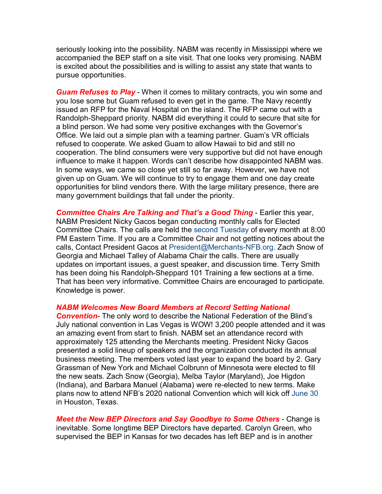seriously looking into the possibility. NABM was recently in Mississippi where we accompanied the BEP staff on a site visit. That one looks very promising. NABM is excited about the possibilities and is willing to assist any state that wants to pursue opportunities.

*Guam Refuses to Play* - When it comes to military contracts, you win some and you lose some but Guam refused to even get in the game. The Navy recently issued an RFP for the Naval Hospital on the island. The RFP came out with a Randolph-Sheppard priority. NABM did everything it could to secure that site for a blind person. We had some very positive exchanges with the Governor's Office. We laid out a simple plan with a teaming partner. Guam's VR officials refused to cooperate. We asked Guam to allow Hawaii to bid and still no cooperation. The blind consumers were very supportive but did not have enough influence to make it happen. Words can't describe how disappointed NABM was. In some ways, we came so close yet still so far away. However, we have not given up on Guam. We will continue to try to engage them and one day create opportunities for blind vendors there. With the large military presence, there are many government buildings that fall under the priority.

**Committee Chairs Are Talking and That's a Good Thing - Earlier this year,** NABM President Nicky Gacos began conducting monthly calls for Elected Committee Chairs. The calls are held the second Tuesday of every month at 8:00 PM Eastern Time. If you are a Committee Chair and not getting notices about the calls, Contact President Gacos at [President@Merchants-NFB.org.](mailto:President@Merchants-NFB.org) Zach Snow of Georgia and Michael Talley of Alabama Chair the calls. There are usually updates on important issues, a guest speaker, and discussion time. Terry Smith has been doing his Randolph-Sheppard 101 Training a few sections at a time. That has been very informative. Committee Chairs are encouraged to participate. Knowledge is power.

*NABM Welcomes New Board Members at Record Setting National* 

*Convention*- The only word to describe the National Federation of the Blind's July national convention in Las Vegas is WOW! 3,200 people attended and it was an amazing event from start to finish. NABM set an attendance record with approximately 125 attending the Merchants meeting. President Nicky Gacos presented a solid lineup of speakers and the organization conducted its annual business meeting. The members voted last year to expand the board by 2. Gary Grassman of New York and Michael Colbrunn of Minnesota were elected to fill the new seats. Zach Snow (Georgia), Melba Taylor (Maryland), Joe Higdon (Indiana), and Barbara Manuel (Alabama) were re-elected to new terms. Make plans now to attend NFB's 2020 national Convention which will kick off June 30 in Houston, Texas.

*Meet the New BEP Directors and Say Goodbye to Some Others* - Change is inevitable. Some longtime BEP Directors have departed. Carolyn Green, who supervised the BEP in Kansas for two decades has left BEP and is in another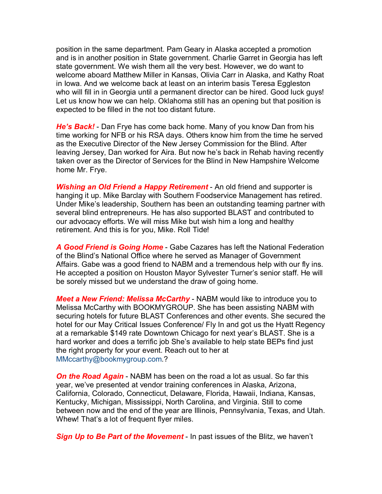position in the same department. Pam Geary in Alaska accepted a promotion and is in another position in State government. Charlie Garret in Georgia has left state government. We wish them all the very best. However, we do want to welcome aboard Matthew Miller in Kansas, Olivia Carr in Alaska, and Kathy Roat in Iowa. And we welcome back at least on an interim basis Teresa Eggleston who will fill in in Georgia until a permanent director can be hired. Good luck guys! Let us know how we can help. Oklahoma still has an opening but that position is expected to be filled in the not too distant future.

*He's Back!* - Dan Frye has come back home. Many of you know Dan from his time working for NFB or his RSA days. Others know him from the time he served as the Executive Director of the New Jersey Commission for the Blind. After leaving Jersey, Dan worked for Aira. But now he's back in Rehab having recently taken over as the Director of Services for the Blind in New Hampshire Welcome home Mr. Frye.

**Wishing an Old Friend a Happy Retirement** - An old friend and supporter is hanging it up. Mike Barclay with Southern Foodservice Management has retired. Under Mike's leadership, Southern has been an outstanding teaming partner with several blind entrepreneurs. He has also supported BLAST and contributed to our advocacy efforts. We will miss Mike but wish him a long and healthy retirement. And this is for you, Mike. Roll Tide!

*A Good Friend is Going Home* - Gabe Cazares has left the National Federation of the Blind's National Office where he served as Manager of Government Affairs. Gabe was a good friend to NABM and a tremendous help with our fly ins. He accepted a position on Houston Mayor Sylvester Turner's senior staff. He will be sorely missed but we understand the draw of going home.

*Meet a New Friend: Melissa McCarthy* - NABM would like to introduce you to Melissa McCarthy with BOOKMYGROUP. She has been assisting NABM with securing hotels for future BLAST Conferences and other events. She secured the hotel for our May Critical Issues Conference/ Fly In and got us the Hyatt Regency at a remarkable \$149 rate Downtown Chicago for next year's BLAST. She is a hard worker and does a terrific job She's available to help state BEPs find just the right property for your event. Reach out to her at [MMccarthy@bookmygroup.com.](mailto:MMccarthy@bookmygroup.com)?

*On the Road Again* - NABM has been on the road a lot as usual. So far this year, we've presented at vendor training conferences in Alaska, Arizona, California, Colorado, Connecticut, Delaware, Florida, Hawaii, Indiana, Kansas, Kentucky, Michigan, Mississippi, North Carolina, and Virginia. Still to come between now and the end of the year are Illinois, Pennsylvania, Texas, and Utah. Whew! That's a lot of frequent flyer miles.

*Sign Up to Be Part of the Movement* - In past issues of the Blitz, we haven't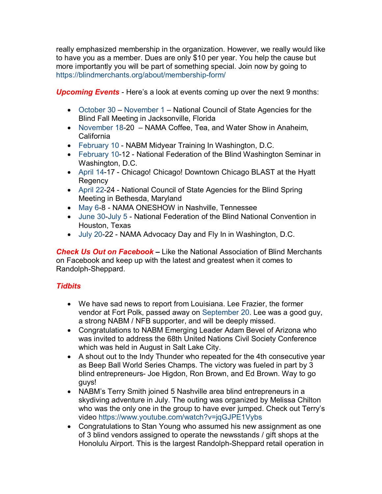really emphasized membership in the organization. However, we really would like to have you as a member. Dues are only \$10 per year. You help the cause but more importantly you will be part of something special. Join now by going to <https://blindmerchants.org/about/membership-form/>

*Upcoming Events* - Here's a look at events coming up over the next 9 months:

- October 30 November 1 National Council of State Agencies for the Blind Fall Meeting in Jacksonville, Florida
- November 18-20 NAMA Coffee, Tea, and Water Show in Anaheim, California
- February 10 NABM Midyear Training In Washington, D.C.
- February 10-12 National Federation of the Blind Washington Seminar in Washington, D.C.
- April 14-17 Chicago! Chicago! Downtown Chicago BLAST at the Hyatt Regency
- April 22-24 National Council of State Agencies for the Blind Spring Meeting in Bethesda, Maryland
- May 6-8 NAMA ONESHOW in Nashville, Tennessee
- June 30-July 5 National Federation of the Blind National Convention in Houston, Texas
- July 20-22 NAMA Advocacy Day and Fly In in Washington, D.C.

*Check Us Out on Facebook –* Like the National Association of Blind Merchants on Facebook and keep up with the latest and greatest when it comes to Randolph-Sheppard.

## *Tidbits*

- We have sad news to report from Louisiana. Lee Frazier, the former vendor at Fort Polk, passed away on September 20. Lee was a good guy, a strong NABM / NFB supporter, and will be deeply missed.
- Congratulations to NABM Emerging Leader Adam Bevel of Arizona who was invited to address the 68th United Nations Civil Society Conference which was held in August in Salt Lake City.
- A shout out to the Indy Thunder who repeated for the 4th consecutive year as Beep Ball World Series Champs. The victory was fueled in part by 3 blind entrepreneurs- Joe Higdon, Ron Brown, and Ed Brown. Way to go guys!
- NABM's Terry Smith joined 5 Nashville area blind entrepreneurs in a skydiving adventure in July. The outing was organized by Melissa Chilton who was the only one in the group to have ever jumped. Check out Terry's video<https://www.youtube.com/watch?v=jqGJPE1Vybs>
- Congratulations to Stan Young who assumed his new assignment as one of 3 blind vendors assigned to operate the newsstands / gift shops at the Honolulu Airport. This is the largest Randolph-Sheppard retail operation in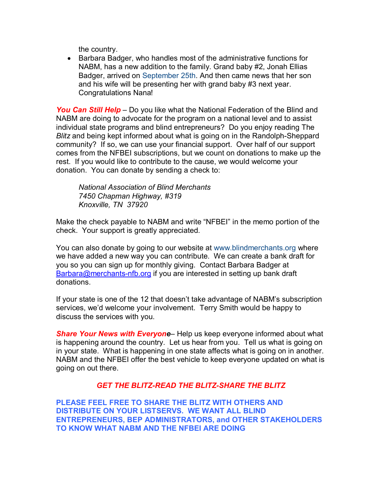the country.

• Barbara Badger, who handles most of the administrative functions for NABM, has a new addition to the family. Grand baby #2, Jonah Ellias Badger, arrived on September 25th. And then came news that her son and his wife will be presenting her with grand baby #3 next year. Congratulations Nana!

*You Can Still Help* – Do you like what the National Federation of the Blind and NABM are doing to advocate for the program on a national level and to assist individual state programs and blind entrepreneurs? Do you enjoy reading The *Blitz* and being kept informed about what is going on in the Randolph-Sheppard community? If so, we can use your financial support. Over half of our support comes from the NFBEI subscriptions, but we count on donations to make up the rest. If you would like to contribute to the cause, we would welcome your donation. You can donate by sending a check to:

*National Association of Blind Merchants 7450 Chapman Highway, #319 Knoxville, TN 37920*

Make the check payable to NABM and write "NFBEI" in the memo portion of the check. Your support is greatly appreciated.

You can also donate by going to our website at [www.blindmerchants.org](http://www.blindmerchants.org/) where we have added a new way you can contribute. We can create a bank draft for you so you can sign up for monthly giving. Contact Barbara Badger at [Barbara@merchants-nfb.org](mailto:Barbara@merchants-nfb.org) if you are interested in setting up bank draft donations.

If your state is one of the 12 that doesn't take advantage of NABM's subscription services, we'd welcome your involvement. Terry Smith would be happy to discuss the services with you.

*Share Your News with Everyone*– Help us keep everyone informed about what is happening around the country. Let us hear from you. Tell us what is going on in your state. What is happening in one state affects what is going on in another. NABM and the NFBEI offer the best vehicle to keep everyone updated on what is going on out there.

## *GET THE BLITZ-READ THE BLITZ-SHARE THE BLITZ*

**PLEASE FEEL FREE TO SHARE THE BLITZ WITH OTHERS AND DISTRIBUTE ON YOUR LISTSERVS. WE WANT ALL BLIND ENTREPRENEURS, BEP ADMINISTRATORS, and OTHER STAKEHOLDERS TO KNOW WHAT NABM AND THE NFBEI ARE DOING**